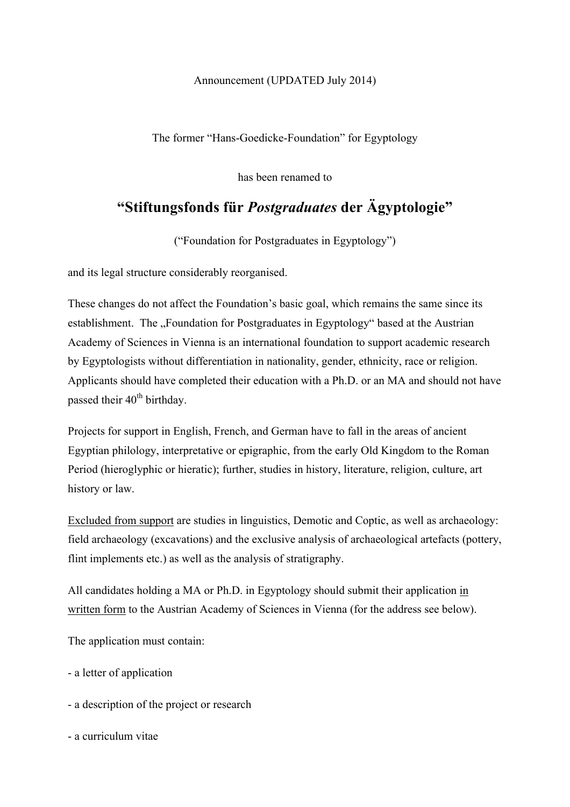## Announcement (UPDATED July 2014)

The former "Hans-Goedicke-Foundation" for Egyptology

has been renamed to

## **"Stiftungsfonds für** *Postgraduates* **der Ägyptologie"**

("Foundation for Postgraduates in Egyptology")

and its legal structure considerably reorganised.

These changes do not affect the Foundation's basic goal, which remains the same since its establishment. The "Foundation for Postgraduates in Egyptology" based at the Austrian Academy of Sciences in Vienna is an international foundation to support academic research by Egyptologists without differentiation in nationality, gender, ethnicity, race or religion. Applicants should have completed their education with a Ph.D. or an MA and should not have passed their 40<sup>th</sup> birthday.

Projects for support in English, French, and German have to fall in the areas of ancient Egyptian philology, interpretative or epigraphic, from the early Old Kingdom to the Roman Period (hieroglyphic or hieratic); further, studies in history, literature, religion, culture, art history or law.

Excluded from support are studies in linguistics, Demotic and Coptic, as well as archaeology: field archaeology (excavations) and the exclusive analysis of archaeological artefacts (pottery, flint implements etc.) as well as the analysis of stratigraphy.

All candidates holding a MA or Ph.D. in Egyptology should submit their application in written form to the Austrian Academy of Sciences in Vienna (for the address see below).

The application must contain:

- a letter of application
- a description of the project or research

- a curriculum vitae